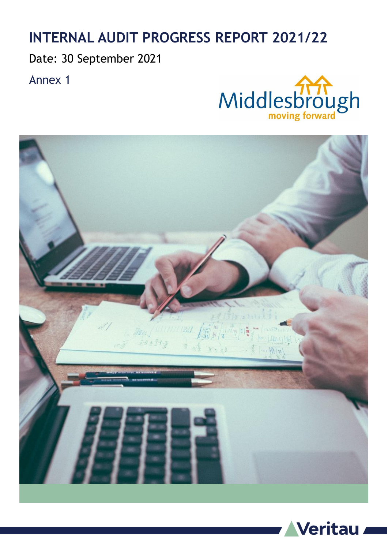## **INTERNAL AUDIT PROGRESS REPORT 2021/22**

Date: 30 September 2021

Annex 1





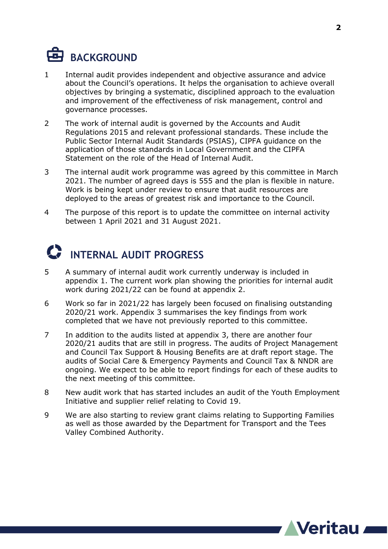## **BACKGROUND**

- 1 Internal audit provides independent and objective assurance and advice about the Council's operations. It helps the organisation to achieve overall objectives by bringing a systematic, disciplined approach to the evaluation and improvement of the effectiveness of risk management, control and governance processes.
- 2 The work of internal audit is governed by the Accounts and Audit Regulations 2015 and relevant professional standards. These include the Public Sector Internal Audit Standards (PSIAS), CIPFA guidance on the application of those standards in Local Government and the CIPFA Statement on the role of the Head of Internal Audit.
- 3 The internal audit work programme was agreed by this committee in March 2021. The number of agreed days is 555 and the plan is flexible in nature. Work is being kept under review to ensure that audit resources are deployed to the areas of greatest risk and importance to the Council.
- 4 The purpose of this report is to update the committee on internal activity between 1 April 2021 and 31 August 2021.

# **INTERNAL AUDIT PROGRESS**

- 5 A summary of internal audit work currently underway is included in appendix 1. The current work plan showing the priorities for internal audit work during 2021/22 can be found at appendix 2.
- 6 Work so far in 2021/22 has largely been focused on finalising outstanding 2020/21 work. Appendix 3 summarises the key findings from work completed that we have not previously reported to this committee.
- 7 In addition to the audits listed at appendix 3, there are another four 2020/21 audits that are still in progress. The audits of Project Management and Council Tax Support & Housing Benefits are at draft report stage. The audits of Social Care & Emergency Payments and Council Tax & NNDR are ongoing. We expect to be able to report findings for each of these audits to the next meeting of this committee.
- 8 New audit work that has started includes an audit of the Youth Employment Initiative and supplier relief relating to Covid 19.
- 9 We are also starting to review grant claims relating to Supporting Families as well as those awarded by the Department for Transport and the Tees Valley Combined Authority.

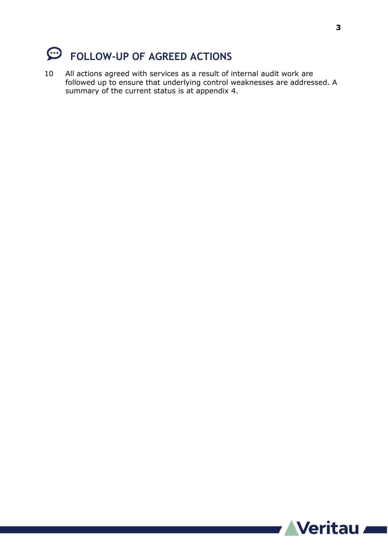## **FOLLOW-UP OF AGREED ACTIONS**

10 All actions agreed with services as a result of internal audit work are followed up to ensure that underlying control weaknesses are addressed. A summary of the current status is at appendix 4.

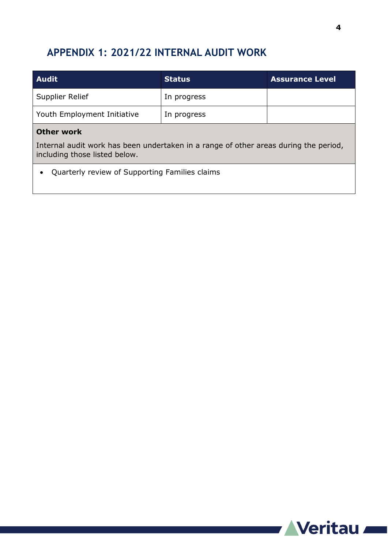### **APPENDIX 1: 2021/22 INTERNAL AUDIT WORK**

| <b>Audit</b>                                                                                                                               | <b>Status</b> | <b>Assurance Level</b> |  |  |  |  |
|--------------------------------------------------------------------------------------------------------------------------------------------|---------------|------------------------|--|--|--|--|
| Supplier Relief                                                                                                                            | In progress   |                        |  |  |  |  |
| Youth Employment Initiative                                                                                                                | In progress   |                        |  |  |  |  |
| <b>Other work</b><br>Internal audit work has been undertaken in a range of other areas during the period,<br>including those listed below. |               |                        |  |  |  |  |
| Quarterly review of Supporting Families claims                                                                                             |               |                        |  |  |  |  |

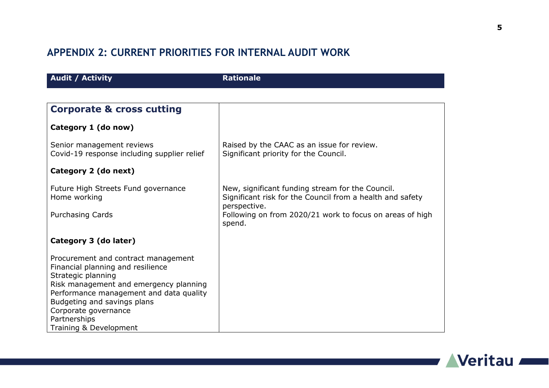#### **APPENDIX 2: CURRENT PRIORITIES FOR INTERNAL AUDIT WORK**

**Audit / Activity Rationale** 

| <b>Corporate &amp; cross cutting</b>                                                                                                                                                                                                                                                 |                                                                                                               |
|--------------------------------------------------------------------------------------------------------------------------------------------------------------------------------------------------------------------------------------------------------------------------------------|---------------------------------------------------------------------------------------------------------------|
| Category 1 (do now)                                                                                                                                                                                                                                                                  |                                                                                                               |
| Senior management reviews<br>Covid-19 response including supplier relief                                                                                                                                                                                                             | Raised by the CAAC as an issue for review.<br>Significant priority for the Council.                           |
| Category 2 (do next)                                                                                                                                                                                                                                                                 |                                                                                                               |
| Future High Streets Fund governance<br>Home working                                                                                                                                                                                                                                  | New, significant funding stream for the Council.<br>Significant risk for the Council from a health and safety |
| <b>Purchasing Cards</b>                                                                                                                                                                                                                                                              | perspective.<br>Following on from 2020/21 work to focus on areas of high<br>spend.                            |
| Category 3 (do later)                                                                                                                                                                                                                                                                |                                                                                                               |
| Procurement and contract management<br>Financial planning and resilience<br>Strategic planning<br>Risk management and emergency planning<br>Performance management and data quality<br>Budgeting and savings plans<br>Corporate governance<br>Partnerships<br>Training & Development |                                                                                                               |

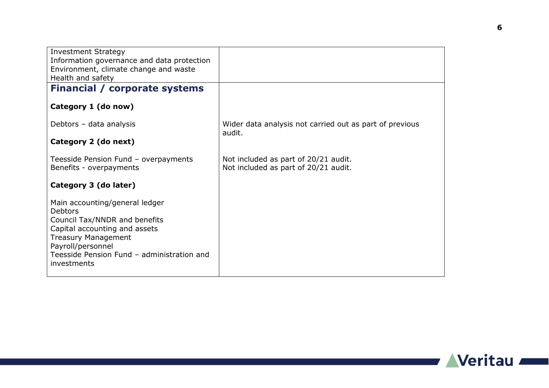| <b>Investment Strategy</b><br>Information governance and data protection<br>Environment, climate change and waste<br>Health and safety                                                                                             |                                                                              |  |  |
|------------------------------------------------------------------------------------------------------------------------------------------------------------------------------------------------------------------------------------|------------------------------------------------------------------------------|--|--|
| Financial / corporate systems                                                                                                                                                                                                      |                                                                              |  |  |
| Category 1 (do now)                                                                                                                                                                                                                |                                                                              |  |  |
| Debtors - data analysis                                                                                                                                                                                                            | Wider data analysis not carried out as part of previous                      |  |  |
| Category 2 (do next)                                                                                                                                                                                                               | audit.                                                                       |  |  |
| Teesside Pension Fund - overpayments<br>Benefits - overpayments                                                                                                                                                                    | Not included as part of 20/21 audit.<br>Not included as part of 20/21 audit. |  |  |
| Category 3 (do later)                                                                                                                                                                                                              |                                                                              |  |  |
| Main accounting/general ledger<br><b>Debtors</b><br>Council Tax/NNDR and benefits<br>Capital accounting and assets<br><b>Treasury Management</b><br>Payroll/personnel<br>Teesside Pension Fund - administration and<br>investments |                                                                              |  |  |



a sa kacamatan ing Kabupatèn Kabupatèn Ing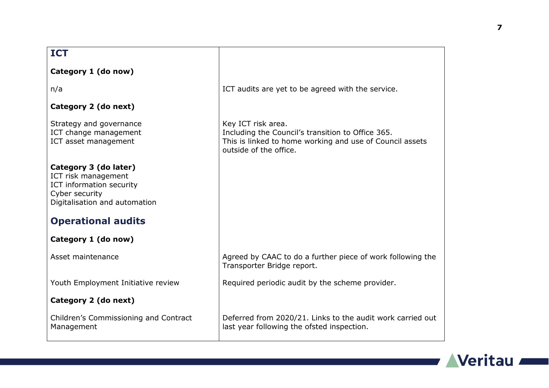| <b>ICT</b>                                                                                                                  |                                                                                                                                                               |
|-----------------------------------------------------------------------------------------------------------------------------|---------------------------------------------------------------------------------------------------------------------------------------------------------------|
| Category 1 (do now)                                                                                                         |                                                                                                                                                               |
| n/a                                                                                                                         | ICT audits are yet to be agreed with the service.                                                                                                             |
| Category 2 (do next)                                                                                                        |                                                                                                                                                               |
| Strategy and governance<br>ICT change management<br>ICT asset management                                                    | Key ICT risk area.<br>Including the Council's transition to Office 365.<br>This is linked to home working and use of Council assets<br>outside of the office. |
| Category 3 (do later)<br>ICT risk management<br>ICT information security<br>Cyber security<br>Digitalisation and automation |                                                                                                                                                               |
| <b>Operational audits</b>                                                                                                   |                                                                                                                                                               |
| Category 1 (do now)                                                                                                         |                                                                                                                                                               |
| Asset maintenance                                                                                                           | Agreed by CAAC to do a further piece of work following the<br>Transporter Bridge report.                                                                      |
| Youth Employment Initiative review                                                                                          | Required periodic audit by the scheme provider.                                                                                                               |

**Category 2 (do next)**

Children's Commissioning and Contract Management

Deferred from 2020/21. Links to the audit work carried out last year following the ofsted inspection.

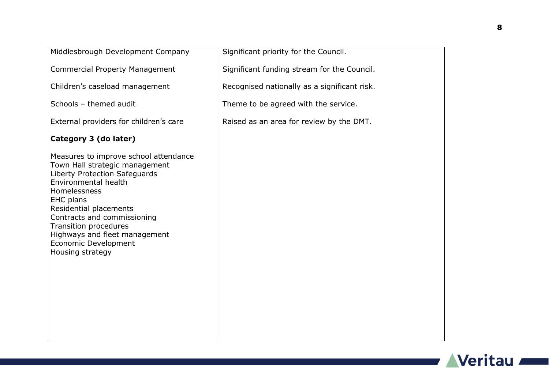| Middlesbrough Development Company                                                                                                                                                                                                                                                                                                          | Significant priority for the Council.        |
|--------------------------------------------------------------------------------------------------------------------------------------------------------------------------------------------------------------------------------------------------------------------------------------------------------------------------------------------|----------------------------------------------|
| <b>Commercial Property Management</b>                                                                                                                                                                                                                                                                                                      | Significant funding stream for the Council.  |
| Children's caseload management                                                                                                                                                                                                                                                                                                             | Recognised nationally as a significant risk. |
| Schools - themed audit                                                                                                                                                                                                                                                                                                                     | Theme to be agreed with the service.         |
| External providers for children's care                                                                                                                                                                                                                                                                                                     | Raised as an area for review by the DMT.     |
| Category 3 (do later)                                                                                                                                                                                                                                                                                                                      |                                              |
| Measures to improve school attendance<br>Town Hall strategic management<br>Liberty Protection Safeguards<br>Environmental health<br>Homelessness<br>EHC plans<br>Residential placements<br>Contracts and commissioning<br><b>Transition procedures</b><br>Highways and fleet management<br><b>Economic Development</b><br>Housing strategy |                                              |

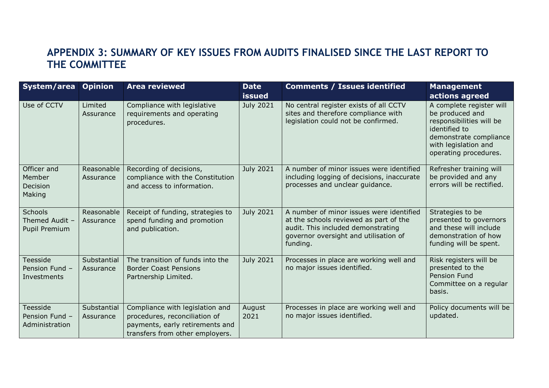#### **APPENDIX 3: SUMMARY OF KEY ISSUES FROM AUDITS FINALISED SINCE THE LAST REPORT TO THE COMMITTEE**

| System/area                                       | <b>Opinion</b>           | <b>Area reviewed</b>                                                                                                                   | <b>Date</b><br><b>issued</b> | <b>Comments / Issues identified</b>                                                                                                                                           | <b>Management</b><br>actions agreed                                                                                                                                 |
|---------------------------------------------------|--------------------------|----------------------------------------------------------------------------------------------------------------------------------------|------------------------------|-------------------------------------------------------------------------------------------------------------------------------------------------------------------------------|---------------------------------------------------------------------------------------------------------------------------------------------------------------------|
| Use of CCTV                                       | Limited<br>Assurance     | Compliance with legislative<br>requirements and operating<br>procedures.                                                               | <b>July 2021</b>             | No central register exists of all CCTV<br>sites and therefore compliance with<br>legislation could not be confirmed.                                                          | A complete register will<br>be produced and<br>responsibilities will be<br>identified to<br>demonstrate compliance<br>with legislation and<br>operating procedures. |
| Officer and<br>Member<br>Decision<br>Making       | Reasonable<br>Assurance  | Recording of decisions,<br>compliance with the Constitution<br>and access to information.                                              | <b>July 2021</b>             | A number of minor issues were identified<br>including logging of decisions, inaccurate<br>processes and unclear quidance.                                                     | Refresher training will<br>be provided and any<br>errors will be rectified.                                                                                         |
| <b>Schools</b><br>Themed Audit -<br>Pupil Premium | Reasonable<br>Assurance  | Receipt of funding, strategies to<br>spend funding and promotion<br>and publication.                                                   | July 2021                    | A number of minor issues were identified<br>at the schools reviewed as part of the<br>audit. This included demonstrating<br>governor oversight and utilisation of<br>funding. | Strategies to be<br>presented to governors<br>and these will include<br>demonstration of how<br>funding will be spent.                                              |
| Teesside<br>Pension Fund -<br>Investments         | Substantial<br>Assurance | The transition of funds into the<br><b>Border Coast Pensions</b><br>Partnership Limited.                                               | <b>July 2021</b>             | Processes in place are working well and<br>no major issues identified.                                                                                                        | Risk registers will be<br>presented to the<br>Pension Fund<br>Committee on a regular<br>basis.                                                                      |
| Teesside<br>Pension Fund -<br>Administration      | Substantial<br>Assurance | Compliance with legislation and<br>procedures, reconciliation of<br>payments, early retirements and<br>transfers from other employers. | August<br>2021               | Processes in place are working well and<br>no major issues identified.                                                                                                        | Policy documents will be<br>updated.                                                                                                                                |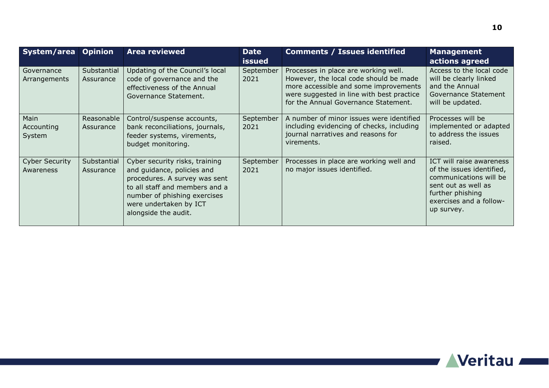| System/area Opinion                |                          | Area reviewed                                                                                                                                                                                                     | <b>Date</b><br><b>issued</b> | <b>Comments / Issues identified</b>                                                                                                                                                                          | <b>Management</b><br>actions agreed                                                                                                                                 |
|------------------------------------|--------------------------|-------------------------------------------------------------------------------------------------------------------------------------------------------------------------------------------------------------------|------------------------------|--------------------------------------------------------------------------------------------------------------------------------------------------------------------------------------------------------------|---------------------------------------------------------------------------------------------------------------------------------------------------------------------|
| Governance<br>Arrangements         | Substantial<br>Assurance | Updating of the Council's local<br>code of governance and the<br>effectiveness of the Annual<br>Governance Statement.                                                                                             | September<br>2021            | Processes in place are working well.<br>However, the local code should be made<br>more accessible and some improvements<br>were suggested in line with best practice<br>for the Annual Governance Statement. | Access to the local code<br>will be clearly linked<br>and the Annual<br>Governance Statement<br>will be updated.                                                    |
| Main<br>Accounting<br>System       | Reasonable<br>Assurance  | Control/suspense accounts,<br>bank reconciliations, journals,<br>feeder systems, virements,<br>budget monitoring.                                                                                                 | September<br>2021            | A number of minor issues were identified<br>including evidencing of checks, including<br>journal narratives and reasons for<br>virements.                                                                    | Processes will be<br>implemented or adapted<br>to address the issues<br>raised.                                                                                     |
| <b>Cyber Security</b><br>Awareness | Substantial<br>Assurance | Cyber security risks, training<br>and guidance, policies and<br>procedures. A survey was sent<br>to all staff and members and a<br>number of phishing exercises<br>were undertaken by ICT<br>alongside the audit. | September<br>2021            | Processes in place are working well and<br>no major issues identified.                                                                                                                                       | ICT will raise awareness<br>of the issues identified,<br>communications will be<br>sent out as well as<br>further phishing<br>exercises and a follow-<br>up survey. |



a sa kacamatan ing Kabupatèn Kabupatèn Kabupatèn Kabupatèn Kabupatèn Kabupatèn Kabupatèn Kabupatèn Kabupatèn K